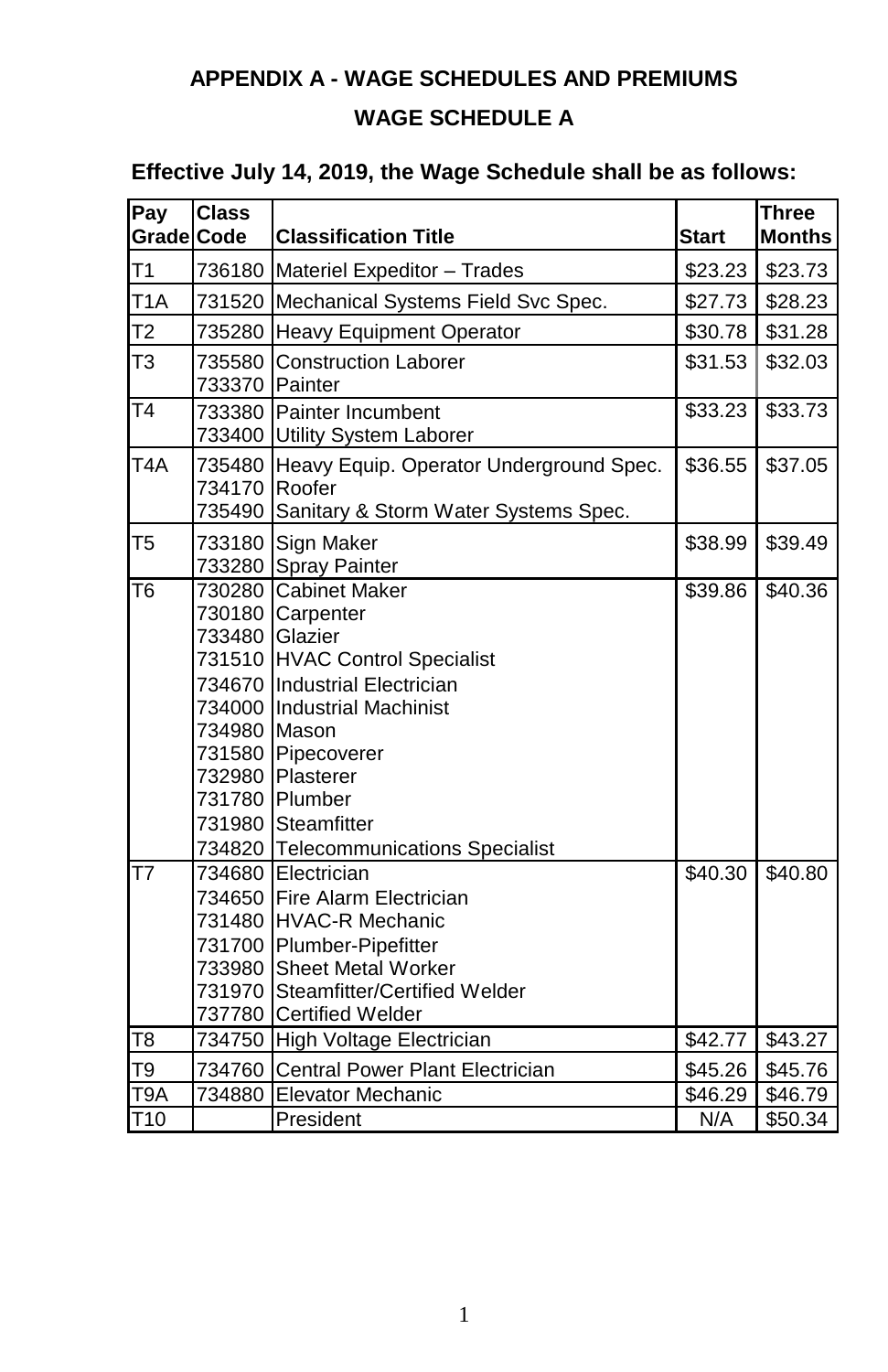# **APPENDIX A - WAGE SCHEDULES AND PREMIUMS**

# **WAGE SCHEDULE A**

## **Effective July 14, 2019, the Wage Schedule shall be as follows:**

| Pay               | <b>Class</b>                                                                                                         |                                                                                                                                                                                                                                                       |              | <b>Three</b>        |
|-------------------|----------------------------------------------------------------------------------------------------------------------|-------------------------------------------------------------------------------------------------------------------------------------------------------------------------------------------------------------------------------------------------------|--------------|---------------------|
| <b>Grade</b> Code |                                                                                                                      | <b>Classification Title</b>                                                                                                                                                                                                                           | <b>Start</b> | <b>Months</b>       |
| T1                | 736180                                                                                                               | Materiel Expeditor - Trades                                                                                                                                                                                                                           | \$23.23      | \$23.73             |
| T <sub>1</sub> A  | 731520                                                                                                               | Mechanical Systems Field Svc Spec.                                                                                                                                                                                                                    | \$27.73      | \$28.23             |
| T <sub>2</sub>    | 735280                                                                                                               | <b>Heavy Equipment Operator</b>                                                                                                                                                                                                                       | \$30.78      | \$31.28             |
| T <sub>3</sub>    | 735580<br>733370                                                                                                     | <b>Construction Laborer</b><br>Painter                                                                                                                                                                                                                | \$31.53      | \$32.03             |
| $\overline{14}$   | 733380<br>733400                                                                                                     | Painter Incumbent<br>Utility System Laborer                                                                                                                                                                                                           | \$33.23      | \$33.73             |
| T <sub>4</sub> A  | 735480<br>734170<br>735490                                                                                           | Heavy Equip. Operator Underground Spec.<br>Roofer<br>Sanitary & Storm Water Systems Spec.                                                                                                                                                             | \$36.55      | \$37.05             |
| T <sub>5</sub>    | 733180<br>733280                                                                                                     | Sign Maker<br>Spray Painter                                                                                                                                                                                                                           | \$38.99      | \$39.49             |
| T <sub>6</sub>    | 730280<br>730180<br>733480<br>731510<br>734670<br>734000<br>734980<br>731580<br>732980<br>731780<br>731980<br>734820 | <b>Cabinet Maker</b><br>Carpenter<br>Glazier<br><b>HVAC Control Specialist</b><br><b>Industrial Electrician</b><br><b>Industrial Machinist</b><br>Mason<br>Pipecoverer<br>Plasterer<br>Plumber<br>Steamfitter<br><b>Telecommunications Specialist</b> | \$39.86      | $\overline{$}40.36$ |
| T7                | 734680<br>734650<br>731480<br>731700<br>733980<br>731970<br>737780                                                   | Electrician<br>Fire Alarm Electrician<br><b>HVAC-R Mechanic</b><br>Plumber-Pipefitter<br><b>Sheet Metal Worker</b><br>Steamfitter/Certified Welder<br><b>Certified Welder</b>                                                                         | \$40.30      | \$40.80             |
| T8                | 734750                                                                                                               | High Voltage Electrician                                                                                                                                                                                                                              | \$42.77      | \$43.27             |
| T9                | 734760                                                                                                               | Central Power Plant Electrician                                                                                                                                                                                                                       | \$45.26      | \$45.76             |
| T9A               | 734880                                                                                                               | <b>Elevator Mechanic</b>                                                                                                                                                                                                                              | \$46.29      | \$46.79             |
| T <sub>10</sub>   |                                                                                                                      | President                                                                                                                                                                                                                                             | N/A          | \$50.34             |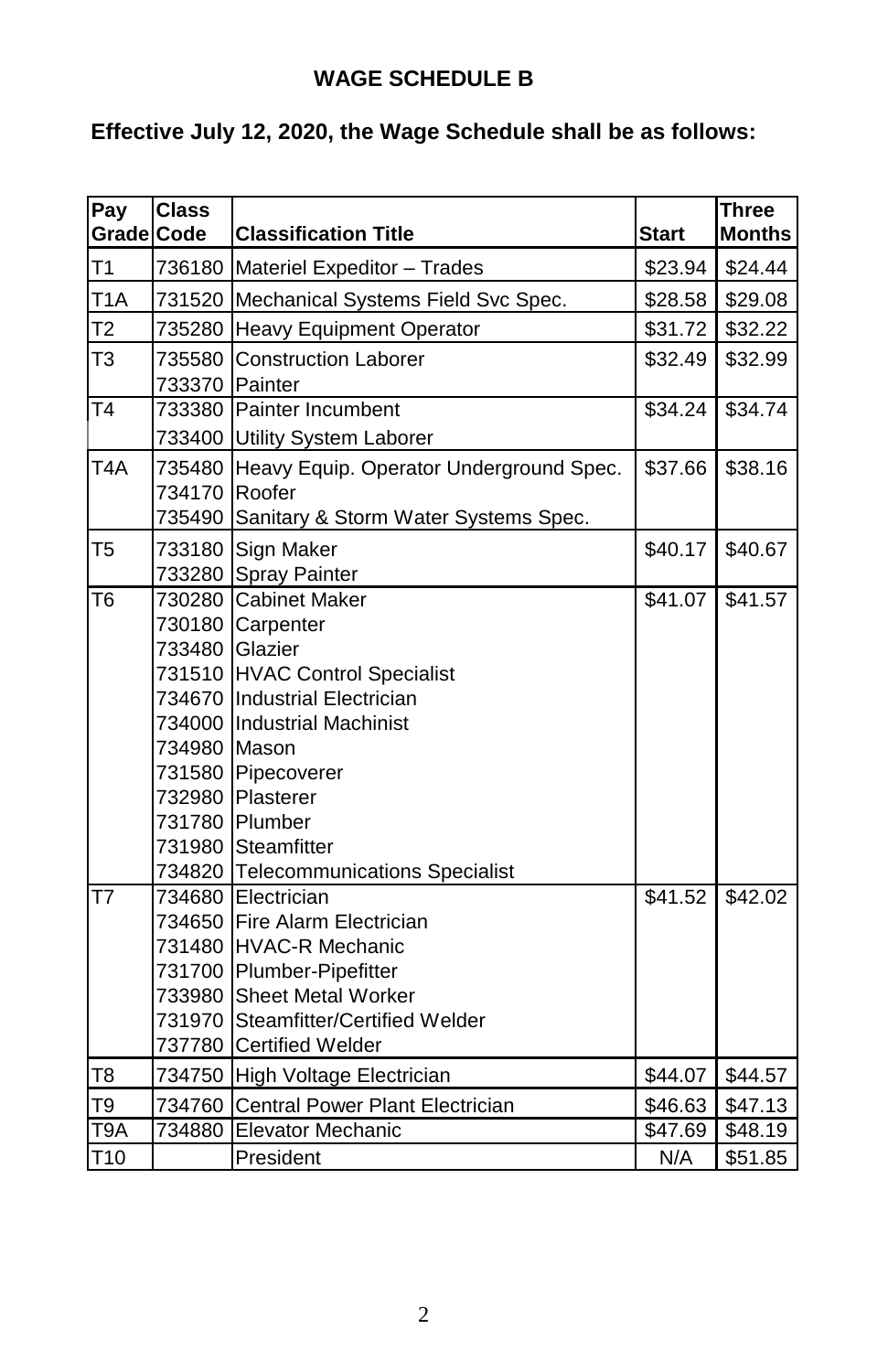#### **WAGE SCHEDULE B**

# **Effective July 12, 2020, the Wage Schedule shall be as follows:**

| Pay                    | <b>Class</b> |                                           |                     | <b>Three</b>  |
|------------------------|--------------|-------------------------------------------|---------------------|---------------|
| <b>Grade Code</b>      |              | <b>Classification Title</b>               | <b>Start</b>        | <b>Months</b> |
| T1                     |              | 736180 Materiel Expeditor - Trades        | \$23.94             | \$24.44       |
| T <sub>1</sub> A       |              | 731520 Mechanical Systems Field Svc Spec. | \$28.58             | \$29.08       |
| T <sub>2</sub>         |              | 735280 Heavy Equipment Operator           | \$31.72             | \$32.22       |
| T3                     | 735580       | <b>Construction Laborer</b>               | \$32.49             | \$32.99       |
|                        | 733370       | Painter                                   |                     |               |
| $\overline{14}$        |              | 733380 Painter Incumbent                  | \$34.24             | \$34.74       |
|                        |              | 733400 Utility System Laborer             |                     |               |
| T <sub>4</sub> A       | 735480       | Heavy Equip. Operator Underground Spec.   | \$37.66             | \$38.16       |
|                        | 734170       | Roofer                                    |                     |               |
|                        | 735490       | Sanitary & Storm Water Systems Spec.      |                     |               |
| T <sub>5</sub>         | 733180       | Sign Maker                                | \$40.17             | \$40.67       |
|                        | 733280       | <b>Spray Painter</b>                      |                     |               |
| $\overline{16}$        | 730280       | <b>Cabinet Maker</b>                      | \$41.07             | \$41.57       |
|                        | 730180       | Carpenter                                 |                     |               |
|                        | 733480       | Glazier                                   |                     |               |
|                        |              | 731510 HVAC Control Specialist            |                     |               |
|                        |              | 734670 Industrial Electrician             |                     |               |
|                        |              | 734000 Industrial Machinist               |                     |               |
|                        | 734980 Mason |                                           |                     |               |
|                        | 731580       | Pipecoverer                               |                     |               |
|                        | 732980       | Plasterer                                 |                     |               |
|                        |              | 731780 Plumber                            |                     |               |
|                        | 731980       | Steamfitter                               |                     |               |
|                        | 734820       | <b>Telecommunications Specialist</b>      |                     |               |
| $\overline{\text{T7}}$ | 734680       | Electrician                               | \$41.52             | \$42.02       |
|                        | 734650       | Fire Alarm Electrician                    |                     |               |
|                        |              | 731480 HVAC-R Mechanic                    |                     |               |
|                        | 731700       | Plumber-Pipefitter                        |                     |               |
|                        | 733980       | <b>Sheet Metal Worker</b>                 |                     |               |
|                        | 731970       | Steamfitter/Certified Welder              |                     |               |
|                        | 737780       | <b>Certified Welder</b>                   |                     |               |
| T <sub>8</sub>         |              | 734750 High Voltage Electrician           | \$44.07             | \$44.57       |
| T9                     | 734760       | Central Power Plant Electrician           | \$46.63             | \$47.13       |
| T9A                    | 734880       | Elevator Mechanic                         | $\overline{$}47.69$ | \$48.19       |
| T <sub>10</sub>        |              | President                                 | N/A                 | \$51.85       |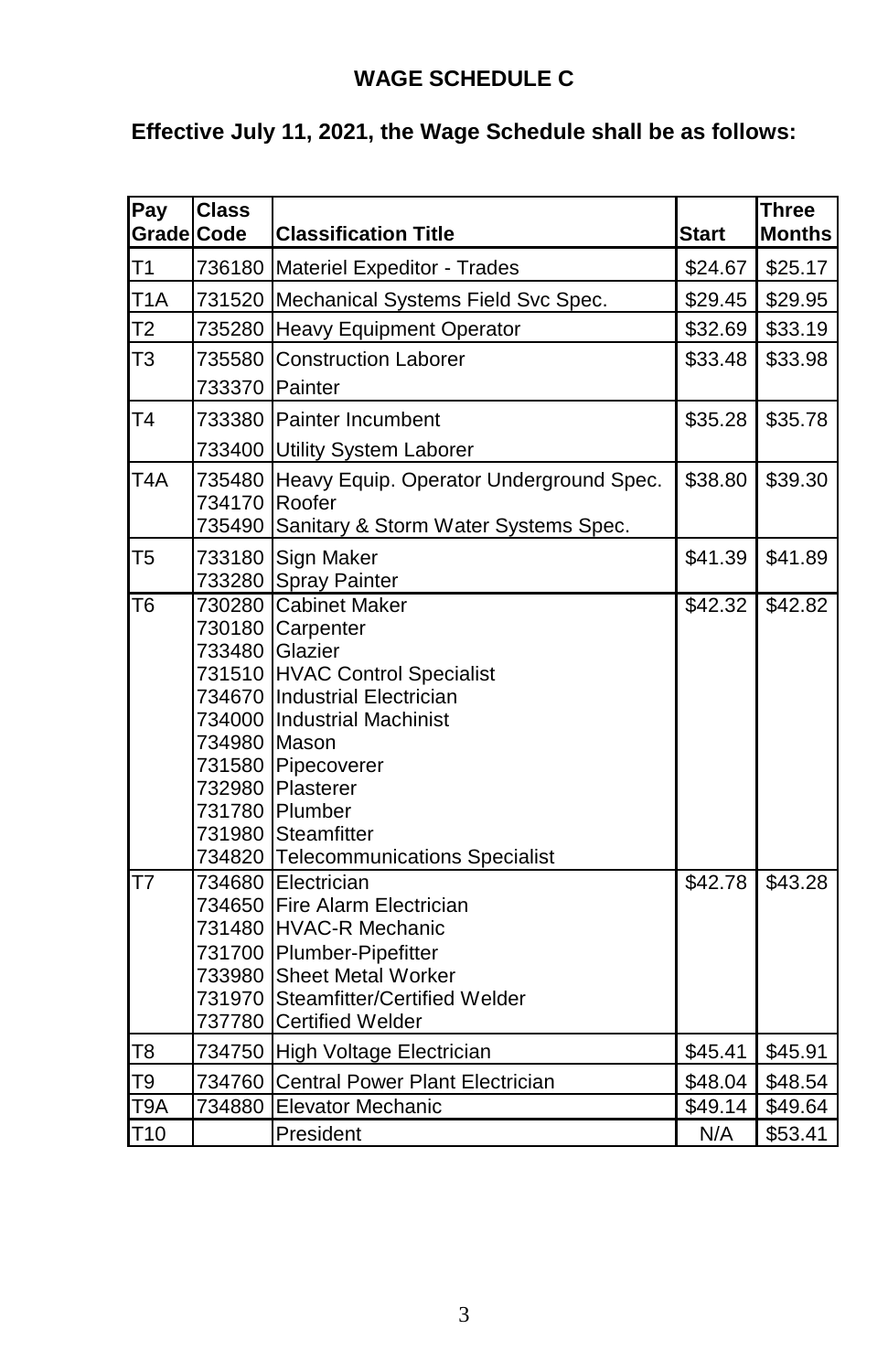# **WAGE SCHEDULE C**

# **Effective July 11, 2021, the Wage Schedule shall be as follows:**

| Pay               | <b>Class</b> | <b>Classification Title</b>             |              | <b>Three</b><br><b>Months</b> |
|-------------------|--------------|-----------------------------------------|--------------|-------------------------------|
| <b>Grade</b> Code |              |                                         | <b>Start</b> |                               |
| T1                | 736180       | Materiel Expeditor - Trades             | \$24.67      | \$25.17                       |
| T <sub>1</sub> A  | 731520       | Mechanical Systems Field Svc Spec.      | \$29.45      | \$29.95                       |
| T <sub>2</sub>    | 735280       | <b>Heavy Equipment Operator</b>         | \$32.69      | \$33.19                       |
| T <sub>3</sub>    | 735580       | <b>Construction Laborer</b>             | \$33.48      | \$33.98                       |
|                   | 733370       | Painter                                 |              |                               |
| T <sub>4</sub>    | 733380       | Painter Incumbent                       | \$35.28      | \$35.78                       |
|                   | 733400       | Utility System Laborer                  |              |                               |
| T <sub>4</sub> A  | 735480       | Heavy Equip. Operator Underground Spec. | \$38.80      | \$39.30                       |
|                   | 734170       | Roofer                                  |              |                               |
|                   | 735490       | Sanitary & Storm Water Systems Spec.    |              |                               |
| T <sub>5</sub>    | 733180       | Sign Maker                              | \$41.39      | \$41.89                       |
|                   | 733280       | Spray Painter                           |              |                               |
| T <sub>6</sub>    | 730280       | <b>Cabinet Maker</b>                    | \$42.32      | \$42.82                       |
|                   | 730180       | Carpenter                               |              |                               |
|                   | 733480       | Glazier                                 |              |                               |
|                   | 731510       | <b>HVAC Control Specialist</b>          |              |                               |
|                   | 734670       | <b>Industrial Electrician</b>           |              |                               |
|                   | 734000       | <b>Industrial Machinist</b>             |              |                               |
|                   | 734980       | Mason                                   |              |                               |
|                   | 731580       | Pipecoverer                             |              |                               |
|                   | 732980       | Plasterer                               |              |                               |
|                   | 731780       | Plumber                                 |              |                               |
|                   | 731980       | Steamfitter                             |              |                               |
|                   | 734820       | <b>Telecommunications Specialist</b>    |              |                               |
| T7                | 734680       | Electrician                             | \$42.78      | \$43.28                       |
|                   | 734650       | Fire Alarm Electrician                  |              |                               |
|                   | 731480       | <b>HVAC-R Mechanic</b>                  |              |                               |
|                   | 731700       | Plumber-Pipefitter                      |              |                               |
|                   | 733980       | <b>Sheet Metal Worker</b>               |              |                               |
|                   | 731970       | Steamfitter/Certified Welder            |              |                               |
|                   | 737780       | <b>Certified Welder</b>                 |              |                               |
| T8                | 734750       | High Voltage Electrician                | \$45.41      | \$45.91                       |
| T9                | 734760       | Central Power Plant Electrician         | \$48.04      | \$48.54                       |
| T9A               | 734880       | Elevator Mechanic                       | \$49.14      | \$49.64                       |
| T <sub>10</sub>   |              | President                               | N/A          | \$53.41                       |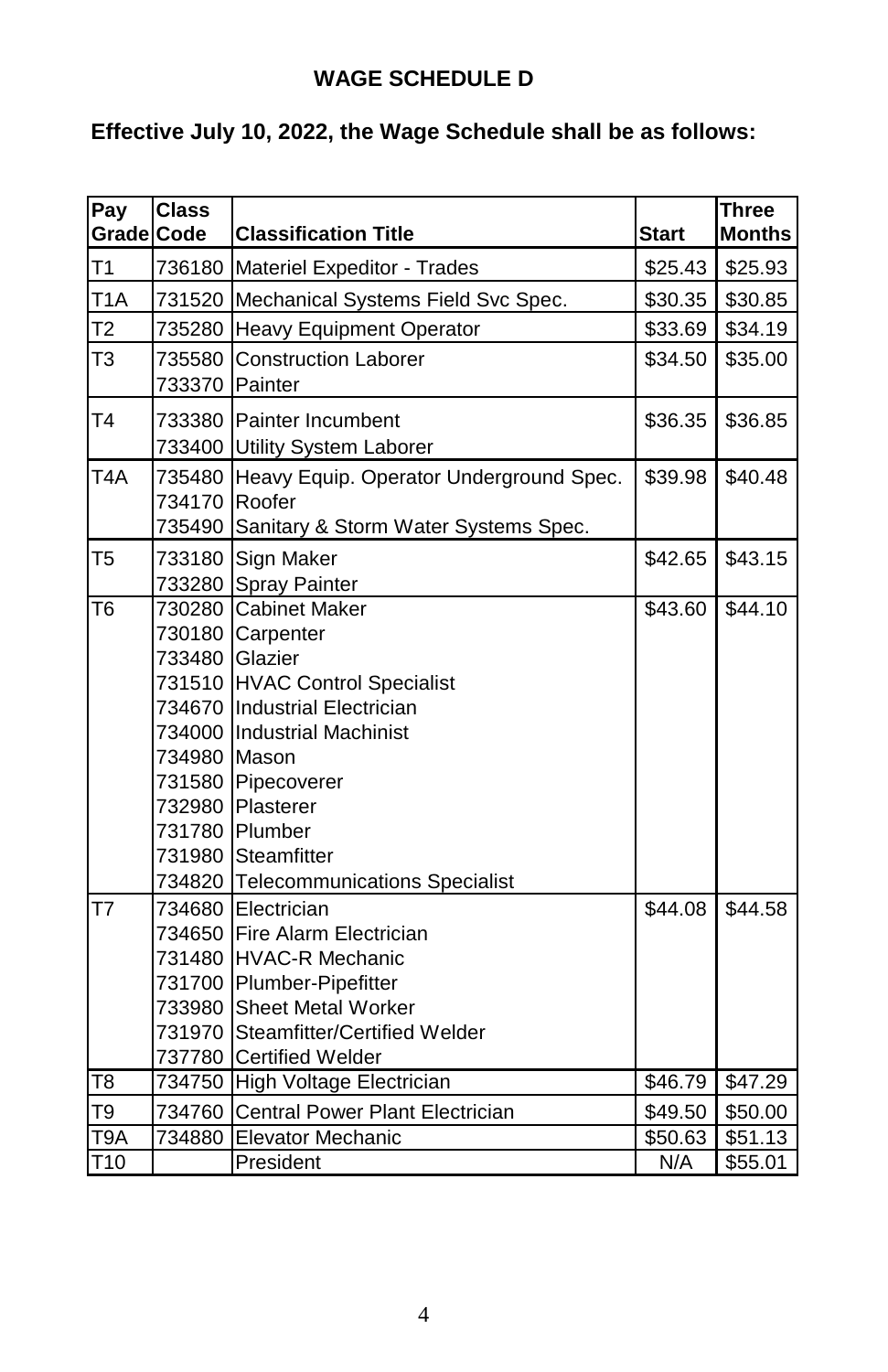#### **WAGE SCHEDULE D**

# **Effective July 10, 2022, the Wage Schedule shall be as follows:**

| Pay               | <b>Class</b> |                                           |                  | <b>Three</b>  |
|-------------------|--------------|-------------------------------------------|------------------|---------------|
| <b>Grade Code</b> |              | <b>Classification Title</b>               | <b>Start</b>     | <b>Months</b> |
| T1                |              | 736180 Materiel Expeditor - Trades        | \$25.43          | \$25.93       |
| T <sub>1</sub> A  |              | 731520 Mechanical Systems Field Svc Spec. | \$30.35          | \$30.85       |
| T2                |              | 735280 Heavy Equipment Operator           | \$33.69          | \$34.19       |
| T3                | 735580       | <b>Construction Laborer</b>               | \$34.50          | \$35.00       |
|                   | 733370       | Painter                                   |                  |               |
| Τ4                | 733380       | <b>Painter Incumbent</b>                  | \$36.35          | \$36.85       |
|                   |              | 733400 Utility System Laborer             |                  |               |
| T <sub>4</sub> A  | 735480       | Heavy Equip. Operator Underground Spec.   | \$39.98          | \$40.48       |
|                   | 734170       | Roofer                                    |                  |               |
|                   | 735490       | Sanitary & Storm Water Systems Spec.      |                  |               |
| T <sub>5</sub>    | 733180       | Sign Maker                                | \$42.65          | \$43.15       |
|                   | 733280       | Spray Painter                             |                  |               |
| T <sub>6</sub>    | 730280       | <b>Cabinet Maker</b>                      | \$43.60          | \$44.10       |
|                   | 730180       | Carpenter                                 |                  |               |
|                   | 733480       | Glazier                                   |                  |               |
|                   | 731510       | <b>HVAC Control Specialist</b>            |                  |               |
|                   |              | 734670 Industrial Electrician             |                  |               |
|                   |              | 734000 Industrial Machinist               |                  |               |
|                   | 734980 Mason |                                           |                  |               |
|                   |              | 731580 Pipecoverer                        |                  |               |
|                   | 732980       | Plasterer                                 |                  |               |
|                   | 731780       | Plumber                                   |                  |               |
|                   | 731980       | Steamfitter                               |                  |               |
|                   |              | 734820 Telecommunications Specialist      |                  |               |
| T7                |              | 734680 Electrician                        | \$44.08          | \$44.58       |
|                   | 734650       | Fire Alarm Electrician                    |                  |               |
|                   |              | 731480 HVAC-R Mechanic                    |                  |               |
|                   | 731700       | Plumber-Pipefitter                        |                  |               |
|                   | 733980       | <b>Sheet Metal Worker</b>                 |                  |               |
|                   | 731970       | Steamfitter/Certified Welder              |                  |               |
|                   | 737780       | Certified Welder                          |                  |               |
| T <sub>8</sub>    |              | 734750 High Voltage Electrician           | \$46.79          | \$47.29       |
| T9                | 734760       | Central Power Plant Electrician           | \$49.50          | \$50.00       |
| T9A               | 734880       | <b>Elevator Mechanic</b>                  | \$50.63          | \$51.13       |
| T10               |              | President                                 | $\overline{N}/A$ | \$55.01       |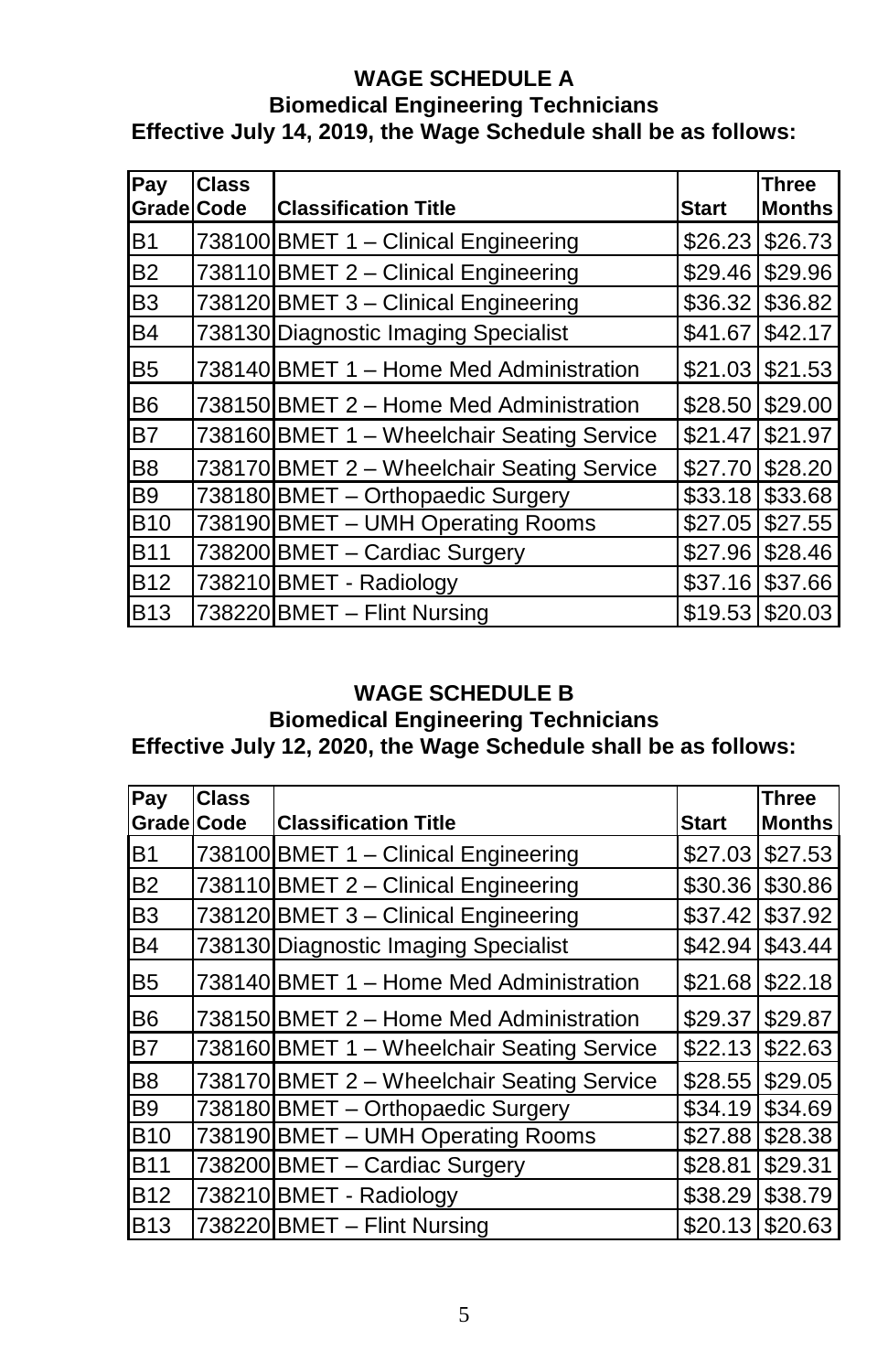#### **WAGE SCHEDULE A Biomedical Engineering Technicians Effective July 14, 2019, the Wage Schedule shall be as follows:**

| Pay<br>Grade Code | Class | <b>Classification Title</b>                | <b>Start</b> | <b>Three</b><br><b>Months</b> |
|-------------------|-------|--------------------------------------------|--------------|-------------------------------|
|                   |       |                                            |              |                               |
| <b>B1</b>         |       | 738100 BMET 1 - Clinical Engineering       | \$26.23      | \$26.73                       |
| <b>B2</b>         |       | 738110 BMET 2 - Clinical Engineering       | \$29.46      | \$29.96                       |
| B <sub>3</sub>    |       | 738120 BMET 3 - Clinical Engineering       | \$36.32      | \$36.82                       |
| <b>B4</b>         |       | 738130 Diagnostic Imaging Specialist       | \$41.67      | \$42.17                       |
| B <sub>5</sub>    |       | 738140 BMET 1 - Home Med Administration    | \$21.03      | \$21.53                       |
| B <sub>6</sub>    |       | 738150 BMET 2 - Home Med Administration    | \$28.50      | \$29.00                       |
| <b>B7</b>         |       | 738160 BMET 1 - Wheelchair Seating Service | \$21.47      | \$21.97                       |
| B <sub>8</sub>    |       | 738170 BMET 2 - Wheelchair Seating Service | \$27.70      | \$28.20                       |
| <b>B9</b>         |       | 738180 BMET - Orthopaedic Surgery          | \$33.18      | \$33.68                       |
| <b>B10</b>        |       | 738190 BMET - UMH Operating Rooms          | \$27.05      | \$27.55                       |
| <b>B11</b>        |       | 738200 BMET - Cardiac Surgery              | \$27.96      | \$28.46                       |
| <b>B12</b>        |       | 738210 BMET - Radiology                    | \$37.16      | \$37.66                       |
| <b>B13</b>        |       | 738220 BMET - Flint Nursing                | \$19.53      | \$20.03                       |

#### **WAGE SCHEDULE B**

#### **Biomedical Engineering Technicians Effective July 12, 2020, the Wage Schedule shall be as follows:**

| Pay               | Class |                                            |              | <b>Three</b>  |
|-------------------|-------|--------------------------------------------|--------------|---------------|
| <b>Grade Code</b> |       | <b>Classification Title</b>                | <b>Start</b> | <b>Months</b> |
| <b>B1</b>         |       | 738100 BMET 1 - Clinical Engineering       | \$27.03      | \$27.53       |
| <b>B2</b>         |       | 738110 BMET 2 - Clinical Engineering       | \$30.36      | \$30.86       |
| B <sub>3</sub>    |       | 738120 BMET 3 - Clinical Engineering       | \$37.42      | \$37.92       |
| <b>B4</b>         |       | 738130 Diagnostic Imaging Specialist       | \$42.94      | \$43.44       |
| B <sub>5</sub>    |       | 738140 BMET 1 - Home Med Administration    | \$21.68      | \$22.18       |
| B <sub>6</sub>    |       | 738150 BMET 2 - Home Med Administration    | \$29.37      | \$29.87       |
| <b>B7</b>         |       | 738160 BMET 1 - Wheelchair Seating Service | \$22.13      | \$22.63       |
| B <sub>8</sub>    |       | 738170 BMET 2 - Wheelchair Seating Service | \$28.55      | \$29.05       |
| B <sub>9</sub>    |       | 738180 BMET - Orthopaedic Surgery          | \$34.19      | \$34.69       |
| <b>B10</b>        |       | 738190 BMET - UMH Operating Rooms          | \$27.88      | \$28.38       |
| <b>B11</b>        |       | 738200 BMET - Cardiac Surgery              | \$28.81      | \$29.31       |
| <b>B12</b>        |       | 738210 BMET - Radiology                    | \$38.29      | \$38.79       |
| <b>B13</b>        |       | 738220 BMET - Flint Nursing                | \$20.13      | \$20.63       |